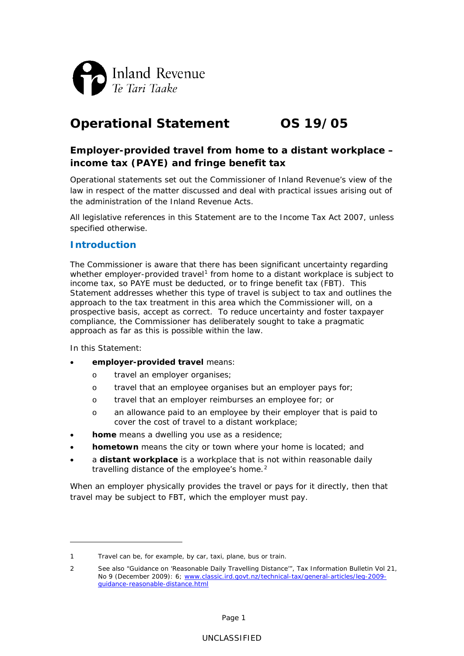

# **Operational Statement OS 19/05**

# **Employer-provided travel from home to a distant workplace – income tax (PAYE) and fringe benefit tax**

Operational statements set out the Commissioner of Inland Revenue's view of the law in respect of the matter discussed and deal with practical issues arising out of the administration of the Inland Revenue Acts.

All legislative references in this Statement are to the Income Tax Act 2007, unless specified otherwise.

# **Introduction**

The Commissioner is aware that there has been significant uncertainty regarding whether employer-provided travel<sup>[1](#page-0-0)</sup> from home to a distant workplace is subject to income tax, so PAYE must be deducted, or to fringe benefit tax (FBT). This Statement addresses whether this type of travel is subject to tax and outlines the approach to the tax treatment in this area which the Commissioner will, on a prospective basis, accept as correct. To reduce uncertainty and foster taxpayer compliance, the Commissioner has deliberately sought to take a pragmatic approach as far as this is possible within the law.

In this Statement:

-

- **employer-provided travel** means:
	- o travel an employer organises;
	- o travel that an employee organises but an employer pays for;
	- o travel that an employer reimburses an employee for; or
	- o an allowance paid to an employee by their employer that is paid to cover the cost of travel to a distant workplace;
- **home** means a dwelling you use as a residence;
- **hometown** means the city or town where your home is located; and
- a **distant workplace** is a workplace that is not within reasonable daily travelling distance of the employee's home.<sup>[2](#page-0-1)</sup>

When an employer physically provides the travel or pays for it directly, then that travel may be subject to FBT, which the employer must pay.

<span id="page-0-0"></span><sup>1</sup> Travel can be, for example, by car, taxi, plane, bus or train.

<span id="page-0-1"></span><sup>2</sup> See also "Guidance on 'Reasonable Daily Travelling Distance'", *Tax Information Bulletin* Vol 21, No 9 (December 2009): 6; [www.classic.ird.govt.nz/technical-tax/general-articles/leg-2009](http://www.classic.ird.govt.nz/technical-tax/general-articles/leg-2009-guidance-reasonable-distance.html) [guidance-reasonable-distance.html](http://www.classic.ird.govt.nz/technical-tax/general-articles/leg-2009-guidance-reasonable-distance.html)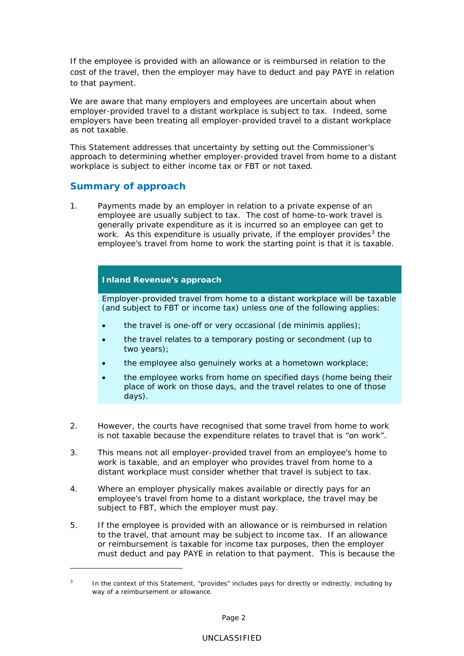If the employee is provided with an allowance or is reimbursed in relation to the cost of the travel, then the employer may have to deduct and pay PAYE in relation to that payment.

We are aware that many employers and employees are uncertain about when employer-provided travel to a distant workplace is subject to tax. Indeed, some employers have been treating all employer-provided travel to a distant workplace as not taxable.

This Statement addresses that uncertainty by setting out the Commissioner's approach to determining whether employer-provided travel from home to a distant workplace is subject to either income tax or FBT or not taxed.

# **Summary of approach**

-

1. Payments made by an employer in relation to a private expense of an employee are usually subject to tax. The cost of home-to-work travel is generally private expenditure as it is incurred so an employee can get to work. As this expenditure is usually private, if the employer provides<sup>[3](#page-1-0)</sup> the employee's travel from home to work the starting point is that it is taxable.

# **Inland Revenue's approach**

Employer-provided travel from home to a distant workplace will be taxable (and subject to FBT or income tax) unless one of the following applies:

- the travel is one-off or very occasional (*de minimis* applies);
- the travel relates to a temporary posting or secondment (up to two years);
- the employee also genuinely works at a hometown workplace;
- the employee works from home on specified days (home being their place of work on those days, and the travel relates to one of those days).
- 2. However, the courts have recognised that some travel from home to work is not taxable because the expenditure relates to travel that is "on work".
- 3. This means not all employer-provided travel from an employee's home to work is taxable, and an employer who provides travel from home to a distant workplace must consider whether that travel is subject to tax.
- 4. Where an employer physically makes available or directly pays for an employee's travel from home to a distant workplace, the travel may be subject to FBT, which the employer must pay.
- 5. If the employee is provided with an allowance or is reimbursed in relation to the travel, that amount may be subject to income tax. If an allowance or reimbursement is taxable for income tax purposes, then the employer must deduct and pay PAYE in relation to that payment. This is because the

<span id="page-1-0"></span><sup>3</sup> In the context of this Statement, "provides" includes pays for directly or indirectly, including by way of a reimbursement or allowance.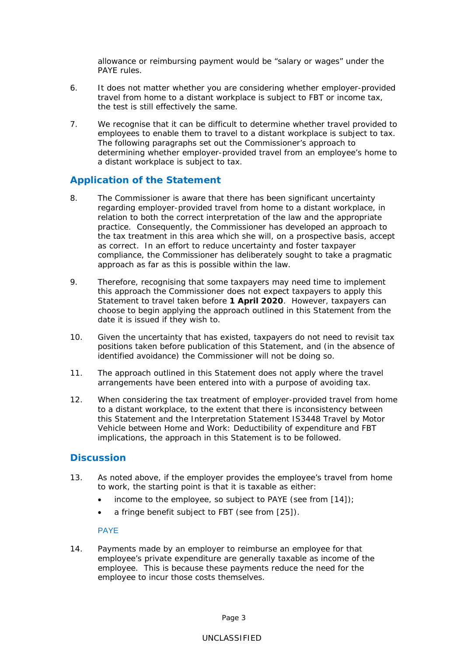allowance or reimbursing payment would be "salary or wages" under the PAYE rules.

- 6. It does not matter whether you are considering whether employer-provided travel from home to a distant workplace is subject to FBT or income tax, the test is still effectively the same.
- 7. We recognise that it can be difficult to determine whether travel provided to employees to enable them to travel to a distant workplace is subject to tax. The following paragraphs set out the Commissioner's approach to determining whether employer-provided travel from an employee's home to a distant workplace is subject to tax.

# **Application of the Statement**

- 8. The Commissioner is aware that there has been significant uncertainty regarding employer-provided travel from home to a distant workplace, in relation to both the correct interpretation of the law and the appropriate practice. Consequently, the Commissioner has developed an approach to the tax treatment in this area which she will, on a prospective basis, accept as correct. In an effort to reduce uncertainty and foster taxpayer compliance, the Commissioner has deliberately sought to take a pragmatic approach as far as this is possible within the law.
- 9. Therefore, recognising that some taxpayers may need time to implement this approach the Commissioner does not expect taxpayers to apply this Statement to travel taken before **1 April 2020**. However, taxpayers can choose to begin applying the approach outlined in this Statement from the date it is issued if they wish to.
- 10. Given the uncertainty that has existed, taxpayers do not need to revisit tax positions taken before publication of this Statement, and (in the absence of identified avoidance) the Commissioner will not be doing so.
- 11. The approach outlined in this Statement does not apply where the travel arrangements have been entered into with a purpose of avoiding tax.
- 12. When considering the tax treatment of employer-provided travel from home to a distant workplace, to the extent that there is inconsistency between this Statement and the Interpretation Statement IS3448 *Travel by Motor Vehicle between Home and Work: Deductibility of expenditure and FBT implications*, the approach in this Statement is to be followed.

# **Discussion**

- 13. As noted above, if the employer provides the employee's travel from home to work, the starting point is that it is taxable as either:
	- income to the employee, so subject to PAYE (see from  $[14]$ );
	- a fringe benefit subject to FBT (see from [25]).

# PAYE

14. Payments made by an employer to reimburse an employee for that employee's private expenditure are generally taxable as income of the employee. This is because these payments reduce the need for the employee to incur those costs themselves.

Page 3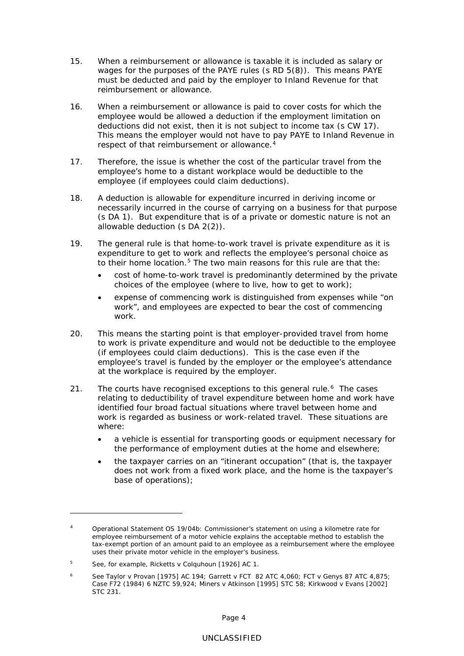- 15. When a reimbursement or allowance is taxable it is included as salary or wages for the purposes of the PAYE rules (s RD 5(8)). This means PAYE must be deducted and paid by the employer to Inland Revenue for that reimbursement or allowance.
- 16. When a reimbursement or allowance is paid to cover costs for which the employee would be allowed a deduction if the employment limitation on deductions did not exist, then it is not subject to income tax (s CW 17). This means the employer would not have to pay PAYE to Inland Revenue in respect of that reimbursement or allowance.<sup>[4](#page-3-0)</sup>
- 17. Therefore, the issue is whether the cost of the particular travel from the employee's home to a distant workplace would be deductible to the employee (if employees could claim deductions).
- 18. A deduction is allowable for expenditure incurred in deriving income or necessarily incurred in the course of carrying on a business for that purpose (s DA 1). But expenditure that is of a private or domestic nature is not an allowable deduction (s DA 2(2)).
- 19. The general rule is that home-to-work travel is private expenditure as it is expenditure to get to work and reflects the employee's personal choice as to their home location.<sup>[5](#page-3-1)</sup> The two main reasons for this rule are that the:
	- cost of home-to-work travel is predominantly determined by the private choices of the employee (where to live, how to get to work);
	- expense of commencing work is distinguished from expenses while "on work", and employees are expected to bear the cost of commencing work.
- 20. This means the starting point is that employer-provided travel from home to work is private expenditure and would not be deductible to the employee (if employees could claim deductions). This is the case even if the employee's travel is funded by the employer or the employee's attendance at the workplace is required by the employer.
- 21. The courts have recognised exceptions to this general rule.<sup>[6](#page-3-2)</sup> The cases relating to deductibility of travel expenditure between home and work have identified four broad factual situations where travel between home and work is regarded as business or work-related travel. These situations are where:
	- a vehicle is essential for transporting goods or equipment necessary for the performance of employment duties at the home and elsewhere;
	- the taxpayer carries on an "itinerant occupation" (that is, the taxpayer does not work from a fixed work place, and the home is the taxpayer's base of operations);

<u>.</u>

<span id="page-3-0"></span><sup>4</sup> Operational Statement OS 19/04b: *Commissioner's statement on using a kilometre rate for employee reimbursement of a motor vehicle* explains the acceptable method to establish the tax-exempt portion of an amount paid to an employee as a reimbursement where the employee uses their private motor vehicle in the employer's business.

<span id="page-3-1"></span><sup>5</sup> See, for example, *Ricketts v Colquhoun* [1926] AC 1.

<span id="page-3-2"></span><sup>6</sup> See *Taylor v Provan* [1975] AC 194; *Garrett v FCT* 82 ATC 4,060; *FCT v Genys* 87 ATC 4,875; *Case F72* (1984) 6 NZTC 59,924; *Miners v Atkinson* [1995] STC 58; *Kirkwood v Evans* [2002] STC 231.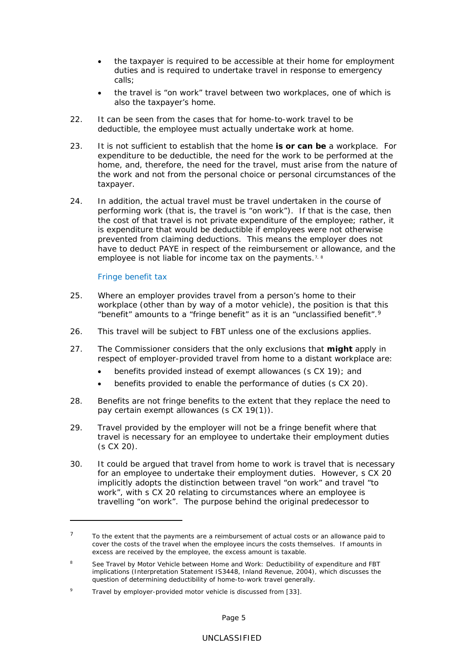- the taxpayer is required to be accessible at their home for employment duties and is required to undertake travel in response to emergency calls;
- the travel is "on work" travel between two workplaces, one of which is also the taxpayer's home.
- 22. It can be seen from the cases that for home-to-work travel to be deductible, the employee must actually undertake work at home.
- 23. It is not sufficient to establish that the home **is or can be** a workplace. For expenditure to be deductible, the need for the work to be performed at the home, and, therefore, the need for the travel, must arise from the nature of the work and not from the personal choice or personal circumstances of the taxpayer.
- 24. In addition, the actual travel must be travel undertaken in the course of performing work (that is, the travel is "on work"). If that is the case, then the cost of that travel is not private expenditure of the employee; rather, it is expenditure that would be deductible if employees were not otherwise prevented from claiming deductions. This means the employer does not have to deduct PAYE in respect of the reimbursement or allowance, and the employee is not liable for income tax on the payments.<sup>[7](#page-4-0), [8](#page-4-1)</sup>

# Fringe benefit tax

<u>.</u>

- 25. Where an employer provides travel from a person's home to their workplace (other than by way of a motor vehicle), the position is that this "benefit" amounts to a "fringe benefit" as it is an "unclassified benefit".[9](#page-4-2)
- 26. This travel will be subject to FBT unless one of the exclusions applies.
- 27. The Commissioner considers that the only exclusions that **might** apply in respect of employer-provided travel from home to a distant workplace are:
	- benefits provided instead of exempt allowances (s CX 19); and
	- benefits provided to enable the performance of duties (s CX 20).
- 28. Benefits are not fringe benefits to the extent that they replace the need to pay certain exempt allowances (s CX 19(1)).
- 29. Travel provided by the employer will not be a fringe benefit where that travel is necessary for an employee to undertake their employment duties (s CX 20).
- 30. It could be argued that travel from home to work is travel that is necessary for an employee to undertake their employment duties. However, s CX 20 implicitly adopts the distinction between travel "on work" and travel "to work", with s CX 20 relating to circumstances where an employee is travelling "on work". The purpose behind the original predecessor to

<span id="page-4-0"></span> $7$  To the extent that the payments are a reimbursement of actual costs or an allowance paid to cover the costs of the travel when the employee incurs the costs themselves. If amounts in excess are received by the employee, the excess amount is taxable.

<span id="page-4-1"></span><sup>8</sup> See *Travel by Motor Vehicle between Home and Work: Deductibility of expenditure and FBT implications* (Interpretation Statement IS3448, Inland Revenue, 2004), which discusses the question of determining deductibility of home-to-work travel generally.

<span id="page-4-2"></span>Travel by employer-provided motor vehicle is discussed from [33].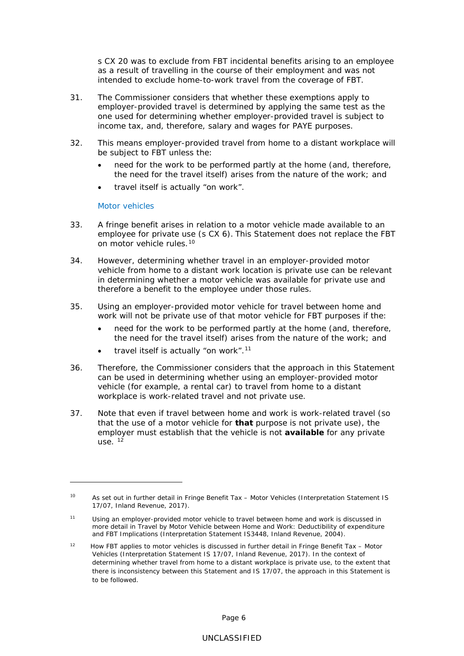s CX 20 was to exclude from FBT incidental benefits arising to an employee as a result of travelling in the course of their employment and was not intended to exclude home-to-work travel from the coverage of FBT.

- 31. The Commissioner considers that whether these exemptions apply to employer-provided travel is determined by applying the same test as the one used for determining whether employer-provided travel is subject to income tax, and, therefore, salary and wages for PAYE purposes.
- 32. This means employer-provided travel from home to a distant workplace will be subject to FBT unless the:
	- need for the work to be performed partly at the home (and, therefore, the need for the travel itself) arises from the nature of the work; and
	- travel itself is actually "on work".

#### Motor vehicles

<u>.</u>

- 33. A fringe benefit arises in relation to a motor vehicle made available to an employee for private use (s CX 6). This Statement does not replace the FBT on motor vehicle rules.[10](#page-5-0)
- 34. However, determining whether travel in an employer-provided motor vehicle from home to a distant work location is private use can be relevant in determining whether a motor vehicle was available for private use and therefore a benefit to the employee under those rules.
- 35. Using an employer-provided motor vehicle for travel between home and work will not be private use of that motor vehicle for FBT purposes if the:
	- need for the work to be performed partly at the home (and, therefore, the need for the travel itself) arises from the nature of the work; and
	- travel itself is actually "on work".<sup>[11](#page-5-1)</sup>
- 36. Therefore, the Commissioner considers that the approach in this Statement can be used in determining whether using an employer-provided motor vehicle (for example, a rental car) to travel from home to a distant workplace is work-related travel and not private use.
- 37. Note that even if travel between home and work is work-related travel (so that the use of a motor vehicle for **that** purpose is not private use), the employer must establish that the vehicle is not **available** for any private use.  $12$

<span id="page-5-0"></span><sup>10</sup> As set out in further detail in *Fringe Benefit Tax – Motor Vehicles* (Interpretation Statement IS 17/07, Inland Revenue, 2017).

<span id="page-5-1"></span><sup>11</sup> Using an employer-provided motor vehicle to travel between home and work is discussed in more detail in *Travel by Motor Vehicle between Home and Work: Deductibility of expenditure and FBT Implications* (Interpretation Statement IS3448, Inland Revenue, 2004).

<span id="page-5-2"></span><sup>12</sup> How FBT applies to motor vehicles is discussed in further detail in *Fringe Benefit Tax – Motor Vehicles* (Interpretation Statement IS 17/07, Inland Revenue, 2017). In the context of determining whether travel from home to a distant workplace is private use, to the extent that there is inconsistency between this Statement and IS 17/07, the approach in this Statement is to be followed.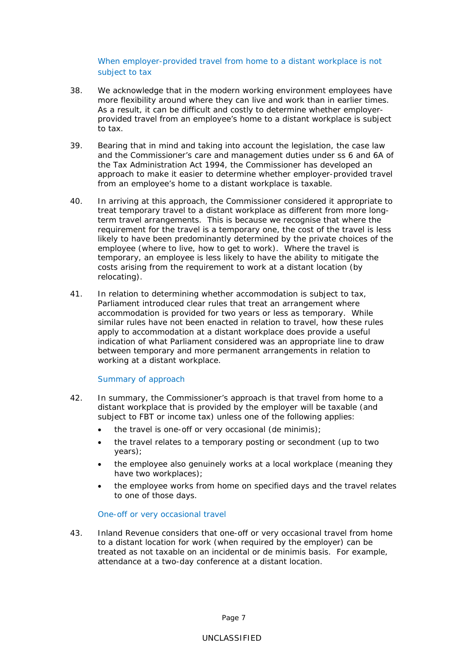When employer-provided travel from home to a distant workplace is not subject to tax

- 38. We acknowledge that in the modern working environment employees have more flexibility around where they can live and work than in earlier times. As a result, it can be difficult and costly to determine whether employerprovided travel from an employee's home to a distant workplace is subject to tax.
- 39. Bearing that in mind and taking into account the legislation, the case law and the Commissioner's care and management duties under ss 6 and 6A of the Tax Administration Act 1994, the Commissioner has developed an approach to make it easier to determine whether employer-provided travel from an employee's home to a distant workplace is taxable.
- 40. In arriving at this approach, the Commissioner considered it appropriate to treat temporary travel to a distant workplace as different from more longterm travel arrangements. This is because we recognise that where the requirement for the travel is a temporary one, the cost of the travel is less likely to have been predominantly determined by the private choices of the employee (where to live, how to get to work). Where the travel is temporary, an employee is less likely to have the ability to mitigate the costs arising from the requirement to work at a distant location (by relocating).
- 41. In relation to determining whether accommodation is subject to tax, Parliament introduced clear rules that treat an arrangement where accommodation is provided for two years or less as temporary. While similar rules have not been enacted in relation to travel, how these rules apply to accommodation at a distant workplace does provide a useful indication of what Parliament considered was an appropriate line to draw between temporary and more permanent arrangements in relation to working at a distant workplace.

# Summary of approach

- 42. In summary, the Commissioner's approach is that travel from home to a distant workplace that is provided by the employer will be taxable (and subject to FBT or income tax) unless one of the following applies:
	- the travel is one-off or very occasional (*de minimis*);
	- the travel relates to a temporary posting or secondment (up to two years);
	- the employee also genuinely works at a local workplace (meaning they have two workplaces);
	- the employee works from home on specified days and the travel relates to one of those days.

# *One-off or very occasional travel*

43. Inland Revenue considers that one-off or very occasional travel from home to a distant location for work (when required by the employer) can be treated as not taxable on an incidental or *de minimis* basis. For example, attendance at a two-day conference at a distant location.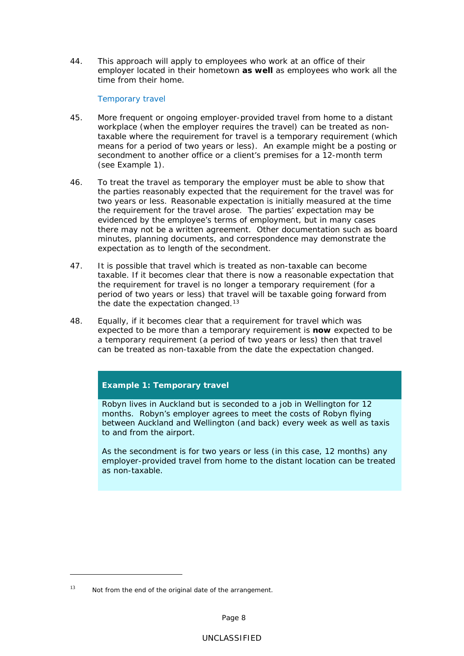44. This approach will apply to employees who work at an office of their employer located in their hometown **as well** as employees who work all the time from their home.

## *Temporary travel*

- 45. More frequent or ongoing employer-provided travel from home to a distant workplace (when the employer requires the travel) can be treated as nontaxable where the requirement for travel is a temporary requirement (which means for a period of two years or less). An example might be a posting or secondment to another office or a client's premises for a 12-month term (see Example 1).
- 46. To treat the travel as temporary the employer must be able to show that the parties reasonably expected that the requirement for the travel was for two years or less. Reasonable expectation is initially measured at the time the requirement for the travel arose. The parties' expectation may be evidenced by the employee's terms of employment, but in many cases there may not be a written agreement. Other documentation such as board minutes, planning documents, and correspondence may demonstrate the expectation as to length of the secondment.
- 47. It is possible that travel which is treated as non-taxable can become taxable. If it becomes clear that there is now a reasonable expectation that the requirement for travel is no longer a temporary requirement (for a period of two years or less) that travel will be taxable going forward from the date the expectation changed.<sup>[13](#page-7-0)</sup>
- 48. Equally, if it becomes clear that a requirement for travel which was expected to be more than a temporary requirement is **now** expected to be a temporary requirement (a period of two years or less) then that travel can be treated as non-taxable from the date the expectation changed.

# **Example 1: Temporary travel**

Robyn lives in Auckland but is seconded to a job in Wellington for 12 months. Robyn's employer agrees to meet the costs of Robyn flying between Auckland and Wellington (and back) every week as well as taxis to and from the airport.

As the secondment is for two years or less (in this case, 12 months) any employer-provided travel from home to the distant location can be treated as non-taxable.

<u>.</u>

<span id="page-7-0"></span> $13$  Not from the end of the original date of the arrangement.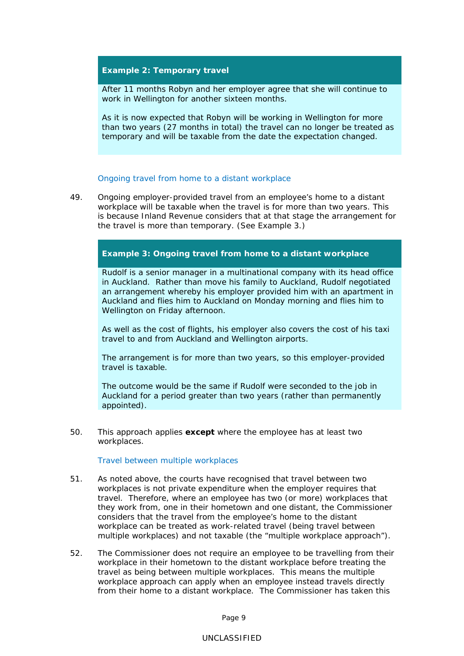# **Example 2: Temporary travel**

After 11 months Robyn and her employer agree that she will continue to work in Wellington for another sixteen months.

As it is now expected that Robyn will be working in Wellington for more than two years (27 months in total) the travel can no longer be treated as temporary and will be taxable from the date the expectation changed.

#### *Ongoing travel from home to a distant workplace*

49. Ongoing employer-provided travel from an employee's home to a distant workplace will be taxable when the travel is for more than two years. This is because Inland Revenue considers that at that stage the arrangement for the travel is more than temporary. (See Example 3.)

# **Example 3: Ongoing travel from home to a distant workplace**

Rudolf is a senior manager in a multinational company with its head office in Auckland. Rather than move his family to Auckland, Rudolf negotiated an arrangement whereby his employer provided him with an apartment in Auckland and flies him to Auckland on Monday morning and flies him to Wellington on Friday afternoon.

As well as the cost of flights, his employer also covers the cost of his taxi travel to and from Auckland and Wellington airports.

The arrangement is for more than two years, so this employer-provided travel is taxable.

The outcome would be the same if Rudolf were seconded to the job in Auckland for a period greater than two years (rather than permanently appointed).

50. This approach applies **except** where the employee has at least two workplaces.

*Travel between multiple workplaces*

- 51. As noted above, the courts have recognised that travel between two workplaces is not private expenditure when the employer requires that travel. Therefore, where an employee has two (or more) workplaces that they work from, one in their hometown and one distant, the Commissioner considers that the travel from the employee's home to the distant workplace can be treated as work-related travel (being travel between multiple workplaces) and not taxable (the "multiple workplace approach").
- 52. The Commissioner does not require an employee to be travelling from their workplace in their hometown to the distant workplace before treating the travel as being between multiple workplaces. This means the multiple workplace approach can apply when an employee instead travels directly from their home to a distant workplace. The Commissioner has taken this

Page 9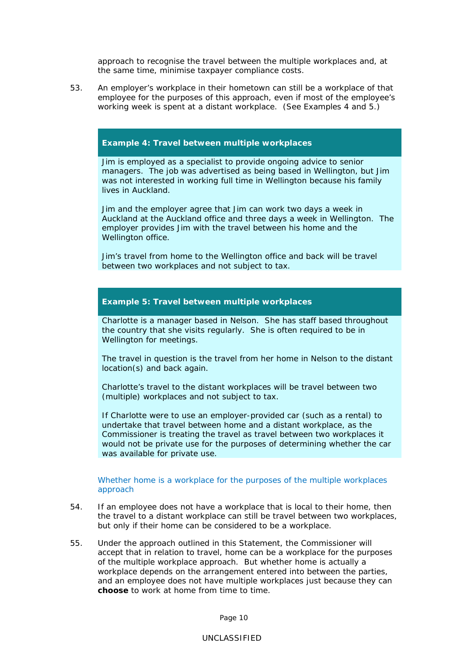approach to recognise the travel between the multiple workplaces and, at the same time, minimise taxpayer compliance costs.

53. An employer's workplace in their hometown can still be a workplace of that employee for the purposes of this approach, even if most of the employee's working week is spent at a distant workplace. (See Examples 4 and 5.)

## **Example 4: Travel between multiple workplaces**

Jim is employed as a specialist to provide ongoing advice to senior managers. The job was advertised as being based in Wellington, but Jim was not interested in working full time in Wellington because his family lives in Auckland.

Jim and the employer agree that Jim can work two days a week in Auckland at the Auckland office and three days a week in Wellington. The employer provides Jim with the travel between his home and the Wellington office.

Jim's travel from home to the Wellington office and back will be travel between two workplaces and not subject to tax.

## **Example 5: Travel between multiple workplaces**

Charlotte is a manager based in Nelson. She has staff based throughout the country that she visits regularly. She is often required to be in Wellington for meetings.

The travel in question is the travel from her home in Nelson to the distant location(s) and back again.

Charlotte's travel to the distant workplaces will be travel between two (multiple) workplaces and not subject to tax.

If Charlotte were to use an employer-provided car (such as a rental) to undertake that travel between home and a distant workplace, as the Commissioner is treating the travel as travel between two workplaces it would not be private use for the purposes of determining whether the car was available for private use.

#### Whether home is a workplace for the purposes of the multiple workplaces approach

- 54. If an employee does not have a workplace that is local to their home, then the travel to a distant workplace can still be travel between two workplaces, but only if their home can be considered to be a workplace.
- 55. Under the approach outlined in this Statement, the Commissioner will accept that in relation to travel, home can be a workplace for the purposes of the multiple workplace approach. But whether home is actually a workplace depends on the arrangement entered into between the parties, and an employee does not have multiple workplaces just because they can **choose** to work at home from time to time.

Page 10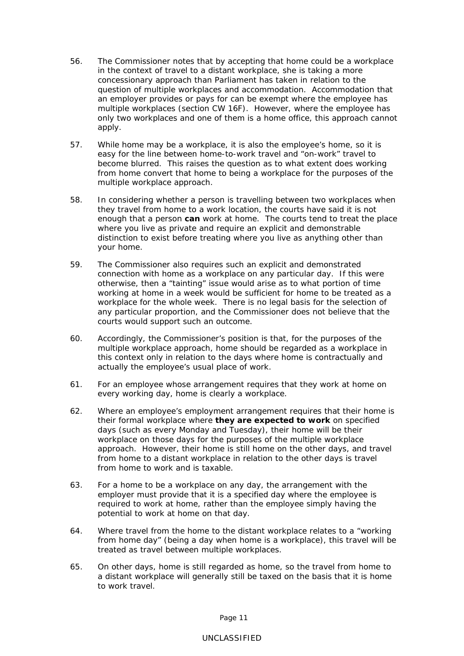- 56. The Commissioner notes that by accepting that home could be a workplace in the context of travel to a distant workplace, she is taking a more concessionary approach than Parliament has taken in relation to the question of multiple workplaces and accommodation. Accommodation that an employer provides or pays for can be exempt where the employee has multiple workplaces (section CW 16F). However, where the employee has only two workplaces and one of them is a home office, this approach cannot apply.
- 57. While home may be a workplace, it is also the employee's home, so it is easy for the line between home-to-work travel and "on-work" travel to become blurred. This raises the question as to what extent does working from home convert that home to being a workplace for the purposes of the multiple workplace approach.
- 58. In considering whether a person is travelling between two workplaces when they travel from home to a work location, the courts have said it is not enough that a person **can** work at home. The courts tend to treat the place where you live as private and require an explicit and demonstrable distinction to exist before treating where you live as anything other than your home.
- 59. The Commissioner also requires such an explicit and demonstrated connection with home as a workplace on any particular day. If this were otherwise, then a "tainting" issue would arise as to what portion of time working at home in a week would be sufficient for home to be treated as a workplace for the whole week. There is no legal basis for the selection of any particular proportion, and the Commissioner does not believe that the courts would support such an outcome.
- 60. Accordingly, the Commissioner's position is that, for the purposes of the multiple workplace approach, home should be regarded as a workplace in this context only in relation to the days where home is contractually and actually the employee's usual place of work.
- 61. For an employee whose arrangement requires that they work at home on every working day, home is clearly a workplace.
- 62. Where an employee's employment arrangement requires that their home is their formal workplace where **they are expected to work** on specified days (such as every Monday and Tuesday), their home will be their workplace on those days for the purposes of the multiple workplace approach. However, their home is still home on the other days, and travel from home to a distant workplace in relation to the other days is travel from home to work and is taxable.
- 63. For a home to be a workplace on any day, the arrangement with the employer must provide that it is a specified day where the employee is required to work at home, rather than the employee simply having the potential to work at home on that day.
- 64. Where travel from the home to the distant workplace relates to a "working from home day" (being a day when home is a workplace), this travel will be treated as travel between multiple workplaces.
- 65. On other days, home is still regarded as home, so the travel from home to a distant workplace will generally still be taxed on the basis that it is home to work travel.

Page 11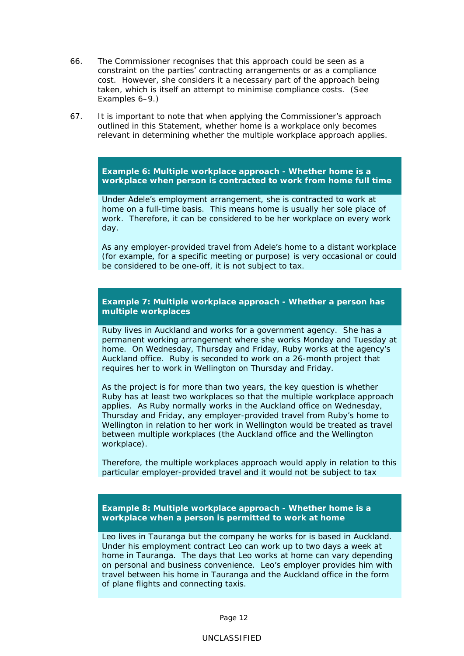- 66. The Commissioner recognises that this approach could be seen as a constraint on the parties' contracting arrangements or as a compliance cost. However, she considers it a necessary part of the approach being taken, which is itself an attempt to minimise compliance costs. (See Examples 6–9.)
- 67. It is important to note that when applying the Commissioner's approach outlined in this Statement, whether home is a workplace only becomes relevant in determining whether the multiple workplace approach applies.

**Example 6: Multiple workplace approach - Whether home is a workplace when person is contracted to work from home full time**

Under Adele's employment arrangement, she is contracted to work at home on a full-time basis. This means home is usually her sole place of work. Therefore, it can be considered to be her workplace on every work day.

As any employer-provided travel from Adele's home to a distant workplace (for example, for a specific meeting or purpose) is very occasional or could be considered to be one-off, it is not subject to tax.

**Example 7: Multiple workplace approach - Whether a person has multiple workplaces**

Ruby lives in Auckland and works for a government agency. She has a permanent working arrangement where she works Monday and Tuesday at home. On Wednesday, Thursday and Friday, Ruby works at the agency's Auckland office. Ruby is seconded to work on a 26-month project that requires her to work in Wellington on Thursday and Friday.

As the project is for more than two years, the key question is whether Ruby has at least two workplaces so that the multiple workplace approach applies. As Ruby normally works in the Auckland office on Wednesday, Thursday and Friday, any employer-provided travel from Ruby's home to Wellington in relation to her work in Wellington would be treated as travel between multiple workplaces (the Auckland office and the Wellington workplace).

Therefore, the multiple workplaces approach would apply in relation to this particular employer-provided travel and it would not be subject to tax

**Example 8: Multiple workplace approach - Whether home is a workplace when a person is permitted to work at home**

Leo lives in Tauranga but the company he works for is based in Auckland. Under his employment contract Leo can work up to two days a week at home in Tauranga. The days that Leo works at home can vary depending on personal and business convenience. Leo's employer provides him with travel between his home in Tauranga and the Auckland office in the form of plane flights and connecting taxis.

Page 12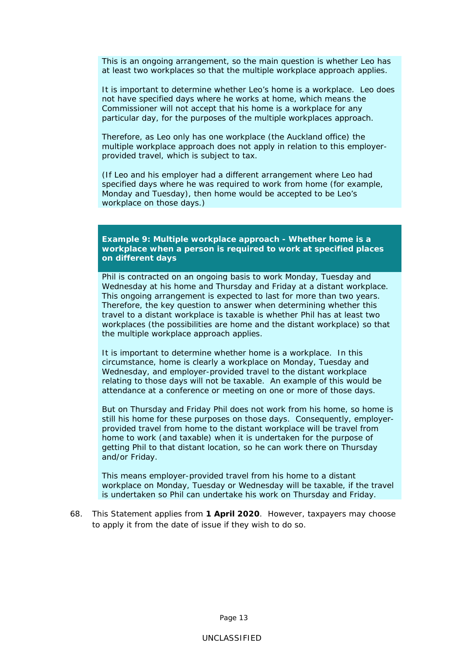This is an ongoing arrangement, so the main question is whether Leo has at least two workplaces so that the multiple workplace approach applies.

It is important to determine whether Leo's home is a workplace. Leo does not have specified days where he works at home, which means the Commissioner will not accept that his home is a workplace for any particular day, for the purposes of the multiple workplaces approach.

Therefore, as Leo only has one workplace (the Auckland office) the multiple workplace approach does not apply in relation to this employerprovided travel, which is subject to tax.

(If Leo and his employer had a different arrangement where Leo had specified days where he was required to work from home (for example, Monday and Tuesday), then home would be accepted to be Leo's workplace on those days.)

**Example 9: Multiple workplace approach - Whether home is a workplace when a person is required to work at specified places on different days**

Phil is contracted on an ongoing basis to work Monday, Tuesday and Wednesday at his home and Thursday and Friday at a distant workplace. This ongoing arrangement is expected to last for more than two years. Therefore, the key question to answer when determining whether this travel to a distant workplace is taxable is whether Phil has at least two workplaces (the possibilities are home and the distant workplace) so that the multiple workplace approach applies.

It is important to determine whether home is a workplace. In this circumstance, home is clearly a workplace on Monday, Tuesday and Wednesday, and employer-provided travel to the distant workplace relating to those days will not be taxable. An example of this would be attendance at a conference or meeting on one or more of those days.

But on Thursday and Friday Phil does not work from his home, so home is still his home for these purposes on those days. Consequently, employerprovided travel from home to the distant workplace will be travel from home to work (and taxable) when it is undertaken for the purpose of getting Phil to that distant location, so he can work there on Thursday and/or Friday.

This means employer-provided travel from his home to a distant workplace on Monday, Tuesday or Wednesday will be taxable, if the travel is undertaken so Phil can undertake his work on Thursday and Friday.

68. This Statement applies from **1 April 2020**. However, taxpayers may choose to apply it from the date of issue if they wish to do so.